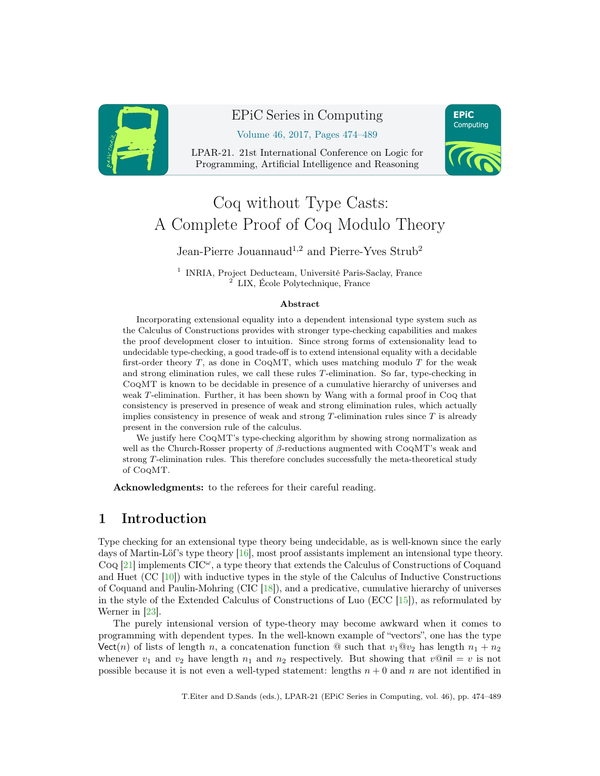<span id="page-0-0"></span>

## EPiC Series in Computing

Volume 46, 2017, Pages 474–489

LPAR-21. 21st International Conference on Logic for Programming, Artificial Intelligence and Reasoning



# Coq without Type Casts: A Complete Proof of Coq Modulo Theory

Jean-Pierre Jouannaud<sup>1,2</sup> and Pierre-Yves Strub<sup>2</sup>

<sup>1</sup> INRIA, Project Deducteam, Université Paris-Saclay, France <sup>2</sup> LIX, École Polytechnique, France

#### Abstract

Incorporating extensional equality into a dependent intensional type system such as the Calculus of Constructions provides with stronger type-checking capabilities and makes the proof development closer to intuition. Since strong forms of extensionality lead to undecidable type-checking, a good trade-off is to extend intensional equality with a decidable first-order theory  $T$ , as done in CoQMT, which uses matching modulo  $T$  for the weak and strong elimination rules, we call these rules T-elimination. So far, type-checking in CoqMT is known to be decidable in presence of a cumulative hierarchy of universes and weak T-elimination. Further, it has been shown by Wang with a formal proof in Coq that consistency is preserved in presence of weak and strong elimination rules, which actually implies consistency in presence of weak and strong  $T$ -elimination rules since  $T$  is already present in the conversion rule of the calculus.

We justify here  $CoQMT$ 's type-checking algorithm by showing strong normalization as well as the Church-Rosser property of  $\beta$ -reductions augmented with CoqMT's weak and strong T-elimination rules. This therefore concludes successfully the meta-theoretical study of CoqMT.

Acknowledgments: to the referees for their careful reading.

## 1 Introduction

Type checking for an extensional type theory being undecidable, as is well-known since the early days of Martin-Löf's type theory [\[16\]](#page-15-0), most proof assistants implement an intensional type theory.  $COQ$  [\[21\]](#page-15-1) implements  $CIC^{\omega}$ , a type theory that extends the Calculus of Constructions of Coquand and Huet (CC [\[10\]](#page-15-2)) with inductive types in the style of the Calculus of Inductive Constructions of Coquand and Paulin-Mohring (CIC [\[18\]](#page-15-3)), and a predicative, cumulative hierarchy of universes in the style of the Extended Calculus of Constructions of Luo (ECC [\[15\]](#page-15-4)), as reformulated by Werner in [\[23\]](#page-15-5).

The purely intensional version of type-theory may become awkward when it comes to programming with dependent types. In the well-known example of "vectors", one has the type Vect(n) of lists of length n, a concatenation function  $\mathcal Q$  such that  $v_1 \mathcal Q v_2$  has length  $n_1 + n_2$ whenever  $v_1$  and  $v_2$  have length  $n_1$  and  $n_2$  respectively. But showing that  $v@nil = v$  is not possible because it is not even a well-typed statement: lengths  $n + 0$  and n are not identified in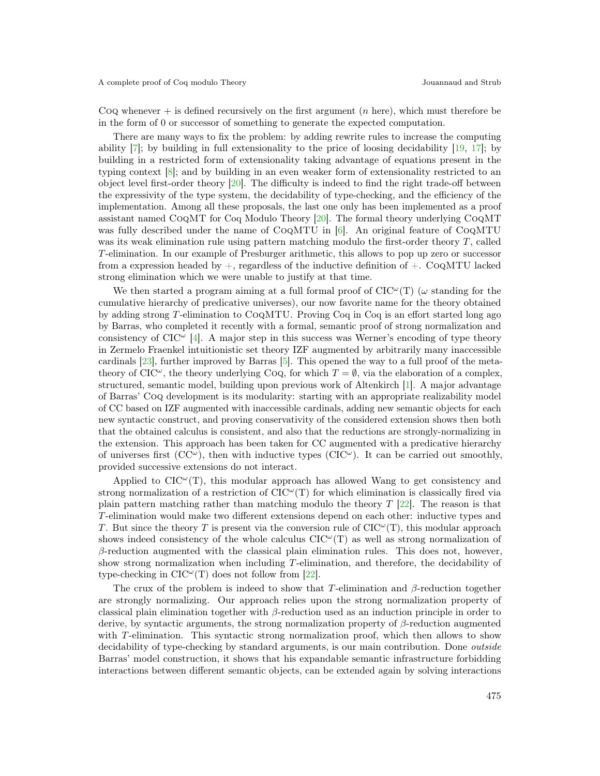Coq whenever  $+$  is defined recursively on the first argument (*n* here), which must therefore be in the form of 0 or successor of something to generate the expected computation.

There are many ways to fix the problem: by adding rewrite rules to increase the computing ability  $[7]$ ; by building in full extensionality to the price of loosing decidability  $[19, 17]$  $[19, 17]$  $[19, 17]$ ; by building in a restricted form of extensionality taking advantage of equations present in the typing context [\[8\]](#page-14-1); and by building in an even weaker form of extensionality restricted to an object level first-order theory [\[20\]](#page-15-8). The difficulty is indeed to find the right trade-off between the expressivity of the type system, the decidability of type-checking, and the efficiency of the implementation. Among all these proposals, the last one only has been implemented as a proof assistant named CoqMT for Coq Modulo Theory [\[20\]](#page-15-8). The formal theory underlying CoqMT was fully described under the name of CoqMTU in [\[6\]](#page-14-2). An original feature of CoqMTU was its weak elimination rule using pattern matching modulo the first-order theory T, called T-elimination. In our example of Presburger arithmetic, this allows to pop up zero or successor from a expression headed by  $+$ , regardless of the inductive definition of  $+$ . CoQMTU lacked strong elimination which we were unable to justify at that time.

We then started a program aiming at a full formal proof of  $CIC^{\omega}(T)$  ( $\omega$  standing for the cumulative hierarchy of predicative universes), our now favorite name for the theory obtained by adding strong T-elimination to CoqMTU. Proving Coq in Coq is an effort started long ago by Barras, who completed it recently with a formal, semantic proof of strong normalization and consistency of  $ClC^{\omega}$  [\[4\]](#page-14-3). A major step in this success was Werner's encoding of type theory in Zermelo Fraenkel intuitionistic set theory IZF augmented by arbitrarily many inaccessible cardinals [\[23\]](#page-15-5), further improved by Barras [\[5\]](#page-14-4). This opened the way to a full proof of the metatheory of CIC<sup> $\omega$ </sup>, the theory underlying CoQ, for which  $T = \emptyset$ , via the elaboration of a complex, structured, semantic model, building upon previous work of Altenkirch [\[1\]](#page-14-5). A major advantage of Barras' Coq development is its modularity: starting with an appropriate realizability model of CC based on IZF augmented with inaccessible cardinals, adding new semantic objects for each new syntactic construct, and proving conservativity of the considered extension shows then both that the obtained calculus is consistent, and also that the reductions are strongly-normalizing in the extension. This approach has been taken for CC augmented with a predicative hierarchy of universes first  $(CC^{\omega})$ , then with inductive types  $(CIC^{\omega})$ . It can be carried out smoothly, provided successive extensions do not interact.

Applied to  $CIC^{\omega}(T)$ , this modular approach has allowed Wang to get consistency and strong normalization of a restriction of  $CIC^{\omega}(T)$  for which elimination is classically fired via plain pattern matching rather than matching modulo the theory  $T$  [\[22\]](#page-15-9). The reason is that T-elimination would make two different extensions depend on each other: inductive types and T. But since the theory T is present via the conversion rule of  $CIC^{\omega}(T)$ , this modular approach shows indeed consistency of the whole calculus  $ClC^{\omega}(T)$  as well as strong normalization of  $\beta$ -reduction augmented with the classical plain elimination rules. This does not, however, show strong normalization when including T-elimination, and therefore, the decidability of type-checking in  $CIC^{\omega}(T)$  does not follow from [\[22\]](#page-15-9).

The crux of the problem is indeed to show that T-elimination and  $\beta$ -reduction together are strongly normalizing. Our approach relies upon the strong normalization property of classical plain elimination together with  $\beta$ -reduction used as an induction principle in order to derive, by syntactic arguments, the strong normalization property of β-reduction augmented with T-elimination. This syntactic strong normalization proof, which then allows to show decidability of type-checking by standard arguments, is our main contribution. Done *outside* Barras' model construction, it shows that his expandable semantic infrastructure forbidding interactions between different semantic objects, can be extended again by solving interactions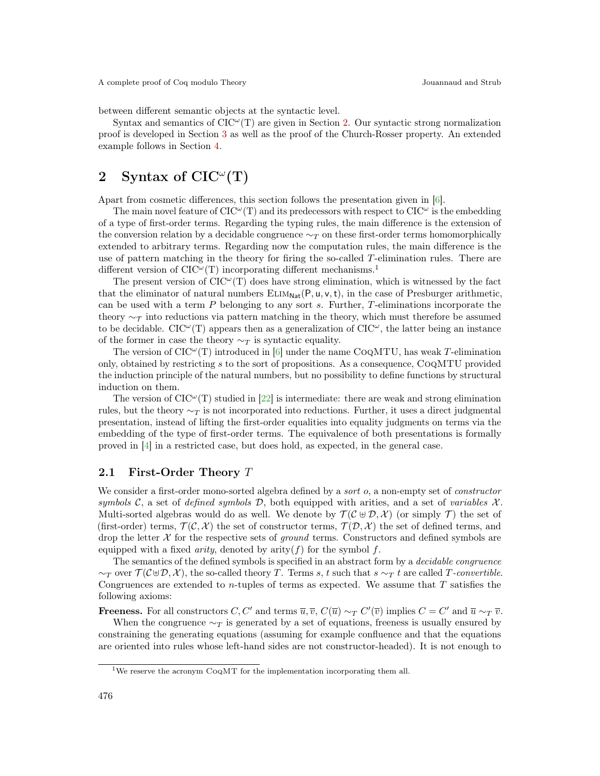between different semantic objects at the syntactic level.

Syntax and semantics of  $CIC^{\omega}(T)$  are given in Section [2.](#page-2-0) Our syntactic strong normalization proof is developed in Section [3](#page-7-0) as well as the proof of the Church-Rosser property. An extended example follows in Section [4.](#page-12-0)

## <span id="page-2-0"></span>2 Syntax of  $CIC^{\omega}(T)$

Apart from cosmetic differences, this section follows the presentation given in [\[6\]](#page-14-2).

The main novel feature of  $CIC^{\omega}(T)$  and its predecessors with respect to  $CIC^{\omega}$  is the embedding of a type of first-order terms. Regarding the typing rules, the main difference is the extension of the conversion relation by a decidable congruence  $\sim_T$  on these first-order terms homomorphically extended to arbitrary terms. Regarding now the computation rules, the main difference is the use of pattern matching in the theory for firing the so-called T-elimination rules. There are different version of  $CIC^{\omega}(T)$  incorporating different mechanisms.<sup>1</sup>

The present version of  $CIC^{\omega}(T)$  does have strong elimination, which is witnessed by the fact that the eliminator of natural numbers  $ELIM_{Nat}(P, u, v, t)$ , in the case of Presburger arithmetic, can be used with a term P belonging to any sort s. Further, T-eliminations incorporate the theory  $\sim$ π into reductions via pattern matching in the theory, which must therefore be assumed to be decidable. CIC<sup> $\omega$ </sup>(T) appears then as a generalization of CIC $\omega$ , the latter being an instance of the former in case the theory  $\sim_T$  is syntactic equality.

The version of  $CIC^{\omega}(T)$  introduced in [\[6\]](#page-14-2) under the name  $COQMTU$ , has weak T-elimination only, obtained by restricting s to the sort of propositions. As a consequence, CoqMTU provided the induction principle of the natural numbers, but no possibility to define functions by structural induction on them.

The version of  $CIC^{\omega}(T)$  studied in [\[22\]](#page-15-9) is intermediate: there are weak and strong elimination rules, but the theory  $\sim_T$  is not incorporated into reductions. Further, it uses a direct judgmental presentation, instead of lifting the first-order equalities into equality judgments on terms via the embedding of the type of first-order terms. The equivalence of both presentations is formally proved in [\[4\]](#page-14-3) in a restricted case, but does hold, as expected, in the general case.

#### 2.1 First-Order Theory T

We consider a first-order mono-sorted algebra defined by a *sort* o, a non-empty set of *constructor* symbols C, a set of defined symbols D, both equipped with arities, and a set of variables  $\mathcal{X}$ . Multi-sorted algebras would do as well. We denote by  $\mathcal{T}(\mathcal{C} \oplus \mathcal{D}, \mathcal{X})$  (or simply T) the set of (first-order) terms,  $\mathcal{T}(\mathcal{C}, \mathcal{X})$  the set of constructor terms,  $\mathcal{T}(\mathcal{D}, \mathcal{X})$  the set of defined terms, and drop the letter  $X$  for the respective sets of *ground* terms. Constructors and defined symbols are equipped with a fixed *arity*, denoted by arity $(f)$  for the symbol f.

The semantics of the defined symbols is specified in an abstract form by a decidable congruence  $\sim_T$  over  $\mathcal{T}(\mathcal{C} \oplus \mathcal{D}, \mathcal{X})$ , the so-called theory T. Terms s, t such that s  $\sim_T t$  are called T-convertible. Congruences are extended to *n*-tuples of terms as expected. We assume that  $T$  satisfies the following axioms:

**Freeness.** For all constructors  $C, C'$  and terms  $\overline{u}, \overline{v}, C(\overline{u}) \sim_T C'(\overline{v})$  implies  $C = C'$  and  $\overline{u} \sim_T \overline{v}$ .

When the congruence  $\sim_T$  is generated by a set of equations, freeness is usually ensured by constraining the generating equations (assuming for example confluence and that the equations are oriented into rules whose left-hand sides are not constructor-headed). It is not enough to

<sup>&</sup>lt;sup>1</sup>We reserve the acronym Co<sub>Q</sub>MT for the implementation incorporating them all.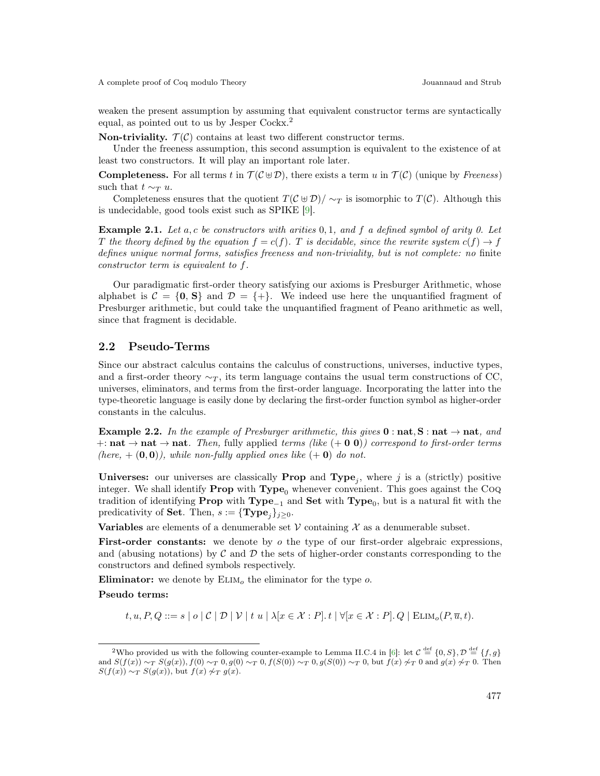weaken the present assumption by assuming that equivalent constructor terms are syntactically equal, as pointed out to us by Jesper Cockx.<sup>2</sup>

Non-triviality.  $\mathcal{T}(\mathcal{C})$  contains at least two different constructor terms.

Under the freeness assumption, this second assumption is equivalent to the existence of at least two constructors. It will play an important role later.

**Completeness.** For all terms t in  $\mathcal{T}(\mathcal{C} \oplus \mathcal{D})$ , there exists a term u in  $\mathcal{T}(\mathcal{C})$  (unique by Freeness) such that  $t \sim_T u$ .

Completeness ensures that the quotient  $T(\mathcal{C} \oplus \mathcal{D})/\sim_T$  is isomorphic to  $T(\mathcal{C})$ . Although this is undecidable, good tools exist such as SPIKE [\[9\]](#page-14-6).

**Example 2.1.** Let a, c be constructors with arities 0,1, and f a defined symbol of arity 0. Let T the theory defined by the equation  $f = c(f)$ . T is decidable, since the rewrite system  $c(f) \rightarrow f$ defines unique normal forms, satisfies freeness and non-triviality, but is not complete: no finite constructor term is equivalent to f.

Our paradigmatic first-order theory satisfying our axioms is Presburger Arithmetic, whose alphabet is  $C = \{0, S\}$  and  $D = \{+\}.$  We indeed use here the unquantified fragment of Presburger arithmetic, but could take the unquantified fragment of Peano arithmetic as well, since that fragment is decidable.

### 2.2 Pseudo-Terms

Since our abstract calculus contains the calculus of constructions, universes, inductive types, and a first-order theory  $\sim_T$ , its term language contains the usual term constructions of CC, universes, eliminators, and terms from the first-order language. Incorporating the latter into the type-theoretic language is easily done by declaring the first-order function symbol as higher-order constants in the calculus.

**Example 2.2.** In the example of Presburger arithmetic, this gives  $0 : nat, S : nat \rightarrow nat$ , and  $+:{\bf nat}\to{\bf nat}$ . Then, fully applied terms (like  $(+\bf{0}\bf{0})$ ) correspond to first-order terms (here,  $+ (0, 0)$ ), while non-fully applied ones like  $(+ 0)$  do not.

**Universes:** our universes are classically **Prop** and **Type**<sub>j</sub>, where j is a (strictly) positive integer. We shall identify **Prop** with  $Type_0$  whenever convenient. This goes against the Coq tradition of identifying  $\textbf{Prop}$  with  $\textbf{Type}_{-1}$  and  $\textbf{Set}$  with  $\textbf{Type}_0$ , but is a natural fit with the predicativity of **Set**. Then,  $s := {\text{Type}_i}_{j \geq 0}$ .

**Variables** are elements of a denumerable set  $V$  containing  $X$  as a denumerable subset.

**First-order constants:** we denote by  $\sigma$  the type of our first-order algebraic expressions, and (abusing notations) by  $\mathcal C$  and  $\mathcal D$  the sets of higher-order constants corresponding to the constructors and defined symbols respectively.

Eliminator: we denote by  $\text{ELIM}_o$  the eliminator for the type  $o$ .

Pseudo terms:

 $t, u, P, Q ::= s \mid o \mid C \mid \mathcal{D} \mid \mathcal{V} \mid t u \mid \lambda[x \in \mathcal{X} : P]. t \mid \forall [x \in \mathcal{X} : P]. Q \mid \text{ELIM}_o(P, \overline{u}, t).$ 

<sup>&</sup>lt;sup>2</sup>Who provided us with the following counter-example to Lemma II.C.4 in [\[6\]](#page-14-2): let  $\mathcal{C} \stackrel{\text{def}}{=} \{0, S\}, \mathcal{D} \stackrel{\text{def}}{=} \{f, g\}$ and  $S(f(x)) \sim_T S(g(x))$ ,  $f(0) \sim_T 0$ ,  $g(0) \sim_T 0$ ,  $f(S(0)) \sim_T 0$ ,  $g(S(0)) \sim_T 0$ , but  $f(x) \not\sim_T 0$  and  $g(x) \not\sim_T 0$ . Then  $S(f(x)) \sim_T S(g(x))$ , but  $f(x) \not\sim_T g(x)$ .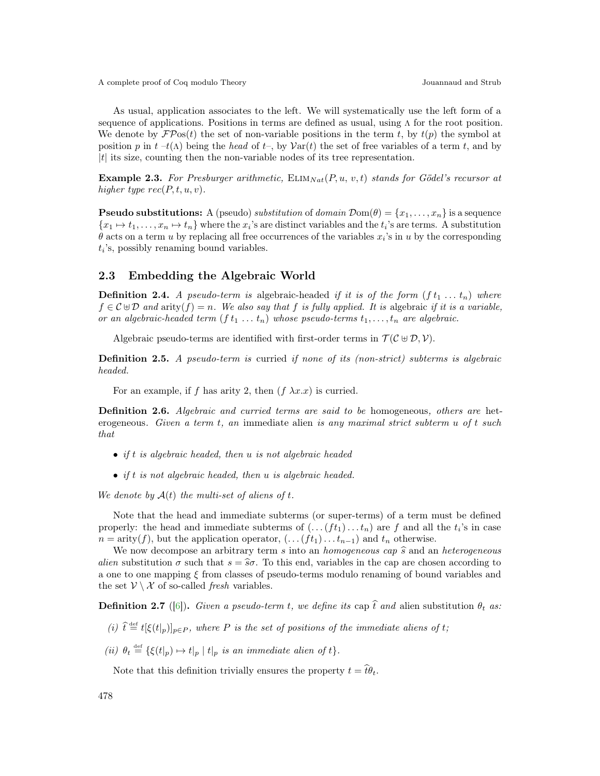As usual, application associates to the left. We will systematically use the left form of a sequence of applications. Positions in terms are defined as usual, using Λ for the root position. We denote by  $\mathcal{F}P$ os(t) the set of non-variable positions in the term t, by  $t(p)$  the symbol at position p in t –t( $\Lambda$ ) being the head of t–, by  $\text{Var}(t)$  the set of free variables of a term t, and by  $|t|$  its size, counting then the non-variable nodes of its tree representation.

Example 2.3. For Presburger arithmetic,  $\text{ELIM}_{Nat}(P, u, v, t)$  stands for Gödel's recursor at higher type  $rec(P, t, u, v)$ .

**Pseudo substitutions:** A (pseudo) substitution of domain  $\mathcal{D}om(\theta) = \{x_1, \ldots, x_n\}$  is a sequence  ${x_1 \mapsto t_1, \ldots, x_n \mapsto t_n}$  where the  $x_i$ 's are distinct variables and the  $t_i$ 's are terms. A substitution  $\theta$  acts on a term u by replacing all free occurrences of the variables  $x_i$ 's in u by the corresponding  $t_i$ 's, possibly renaming bound variables.

#### 2.3 Embedding the Algebraic World

**Definition 2.4.** A pseudo-term is algebraic-headed if it is of the form  $(f t_1 ... t_n)$  where  $f \in \mathcal{C} \oplus \mathcal{D}$  and arity $(f) = n$ . We also say that f is fully applied. It is algebraic if it is a variable, or an algebraic-headed term  $(f t_1 ... t_n)$  whose pseudo-terms  $t_1,..., t_n$  are algebraic.

Algebraic pseudo-terms are identified with first-order terms in  $\mathcal{T}(\mathcal{C} \oplus \mathcal{D}, \mathcal{V})$ .

Definition 2.5. A pseudo-term is curried if none of its (non-strict) subterms is algebraic headed.

For an example, if f has arity 2, then  $(f \lambda x.x)$  is curried.

Definition 2.6. Algebraic and curried terms are said to be homogeneous, others are heterogeneous. Given a term t, an immediate alien is any maximal strict subterm u of t such that

- if t is algebraic headed, then u is not algebraic headed
- if t is not algebraic headed, then u is algebraic headed.

We denote by  $A(t)$  the multi-set of aliens of t.

Note that the head and immediate subterms (or super-terms) of a term must be defined properly: the head and immediate subterms of  $(\ldots (ft_1) \ldots t_n)$  are f and all the  $t_i$ 's in case  $n = \text{arity}(f)$ , but the application operator,  $(\ldots (ft_1) \ldots t_{n-1})$  and  $t_n$  otherwise.

We now decompose an arbitrary term s into an *homogeneous cap*  $\hat{s}$  and an *heterogeneous* alien substitution  $\sigma$  such that  $s = \hat{s}\sigma$ . To this end, variables in the cap are chosen according to a one to one mapping  $\xi$  from classes of pseudo-terms modulo renaming of bound variables and the set  $V \setminus \mathcal{X}$  of so-called *fresh* variables.

**Definition 2.7** ([\[6\]](#page-14-2)). Given a pseudo-term t, we define its cap  $\hat{t}$  and alien substitution  $\theta_t$  as:

- (i)  $\hat{t} \stackrel{\text{def}}{=} t[\xi(t|p)]_{p\in P}$ , where P is the set of positions of the immediate aliens of t;
- (ii)  $\theta_t \stackrel{\text{def}}{=} {\xi(t|_p) \mapsto t|_p | t|_p \text{ is an immediate alien of } t}.$

Note that this definition trivially ensures the property  $t = \hat{t}\theta_t$ .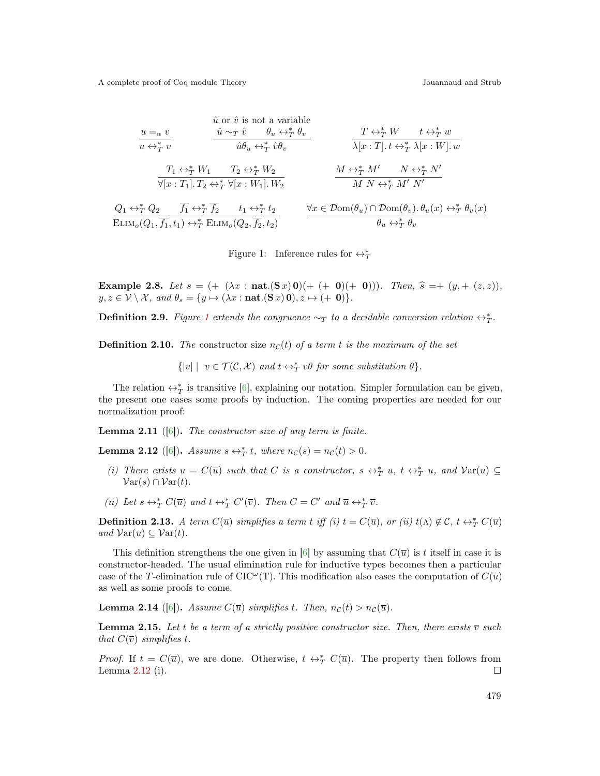$$
\begin{array}{cccc}\n & \hat{u} \text{ or } \hat{v} \text{ is not a variable} \\
 & \frac{u =_{\alpha} v}{u \leftrightarrow_{T}^{*} v} & \frac{\hat{u} \sim_{T} \hat{v} \qquad \theta_{u} \leftrightarrow_{T}^{*} \theta_{v}}{\hat{u} \theta_{u} \leftrightarrow_{T}^{*} \hat{v} \theta_{v}} & \frac{T \leftrightarrow_{T}^{*} W \qquad t \leftrightarrow_{T}^{*} w}{\lambda [x : T]. t \leftrightarrow_{T}^{*} \lambda [x : W]. w} \\
 & \frac{T_{1} \leftrightarrow_{T}^{*} W_{1} \qquad T_{2} \leftrightarrow_{T}^{*} W_{2}}{\forall [x : T_{1}]. T_{2} \leftrightarrow_{T}^{*} \forall [x : W_{1}]. W_{2}} & \frac{M \leftrightarrow_{T}^{*} M' \qquad N \leftrightarrow_{T}^{*} N'}{M N \leftrightarrow_{T}^{*} M' N'} \\
 & Q_{1} \leftrightarrow_{T}^{*} Q_{2} & \overline{f_{1}} \leftrightarrow_{T}^{*} \overline{f_{2}} & t_{1} \leftrightarrow_{T}^{*} t_{2} & \forall x \in \mathcal{D}om(\theta_{u}) \cap \mathcal{D}om(\theta_{v}). \theta_{u}(x) \leftrightarrow_{T}^{*} \theta_{v}(x) \\
\text{ELIM}_{o}(Q_{1}, \overline{f_{1}}, t_{1}) \leftrightarrow_{T}^{*} \text{ELIM}_{o}(Q_{2}, \overline{f_{2}}, t_{2}) & \frac{\forall x \in \mathcal{D}om(\theta_{u}) \cap \mathcal{D}om(\theta_{v}). \theta_{u}(x) \leftrightarrow_{T}^{*} \theta_{v}(x)}{\theta_{u} \leftrightarrow_{T}^{*} \theta_{v}}\n\end{array}
$$

<span id="page-5-0"></span>Figure 1: Inference rules for  $\leftrightarrow^*_T$ 

Example 2.8. Let  $s = (+ (\lambda x : \text{nat.}(S x) 0) (+ (+ 0)(+ 0)))$ . Then,  $\hat{s} = +(y, + (z, z))$ ,  $y, z \in \mathcal{V} \setminus \mathcal{X}$ , and  $\theta_s = \{y \mapsto (\lambda x : \textbf{nat.}(\mathbf{S} x) \mathbf{0}), z \mapsto (+ \mathbf{0})\}.$ 

<span id="page-5-4"></span>**Definition 2.9.** Figure [1](#page-5-0) extends the congruence  $\sim_T$  to a decidable conversion relation  $\leftrightarrow_T^*$ .

**Definition 2.10.** The constructor size  $n<sub>C</sub>(t)$  of a term t is the maximum of the set

 $\{|v| \mid v \in \mathcal{T}(\mathcal{C}, \mathcal{X}) \text{ and } t \leftrightarrow^*_{T} v\theta \text{ for some substitution } \theta\}.$ 

The relation  $\leftrightarrow^*_{T}$  is transitive [\[6\]](#page-14-2), explaining our notation. Simpler formulation can be given, the present one eases some proofs by induction. The coming properties are needed for our normalization proof:

**Lemma 2.11** ([\[6\]](#page-14-2)). The constructor size of any term is finite.

<span id="page-5-1"></span>**Lemma 2.12** ([\[6\]](#page-14-2)). Assume  $s \leftrightarrow^*_{T} t$ , where  $n_{\mathcal{C}}(s) = n_{\mathcal{C}}(t) > 0$ .

- (i) There exists  $u = C(\overline{u})$  such that C is a constructor,  $s \leftrightarrow_{T}^{*} u$ ,  $t \leftrightarrow_{T}^{*} u$ , and  $Var(u) \subseteq$  $\mathcal{V}\text{ar}(s) \cap \mathcal{V}\text{ar}(t)$ .
- (ii) Let  $s \leftrightarrow_T^* C(\overline{u})$  and  $t \leftrightarrow_T^* C'(\overline{v})$ . Then  $C = C'$  and  $\overline{u} \leftrightarrow_T^* \overline{v}$ .

**Definition 2.13.** A term  $C(\overline{u})$  simplifies a term t iff (i)  $t = C(\overline{u})$ , or (ii)  $t(\Lambda) \notin C$ ,  $t \leftrightarrow_T^* C(\overline{u})$ and  $\mathcal{V}\text{ar}(\overline{u}) \subseteq \mathcal{V}\text{ar}(t)$ .

This definition strengthens the one given in [\[6\]](#page-14-2) by assuming that  $C(\overline{u})$  is t itself in case it is constructor-headed. The usual elimination rule for inductive types becomes then a particular case of the T-elimination rule of CIC<sup> $\omega$ </sup>(T). This modification also eases the computation of  $C(\overline{u})$ as well as some proofs to come.

<span id="page-5-3"></span>**Lemma 2.14** ([\[6\]](#page-14-2)). Assume  $C(\overline{u})$  simplifies t. Then,  $n_{\mathcal{C}}(t) > n_{\mathcal{C}}(\overline{u})$ .

<span id="page-5-2"></span>**Lemma 2.15.** Let t be a term of a strictly positive constructor size. Then, there exists  $\overline{v}$  such that  $C(\overline{v})$  simplifies t.

*Proof.* If  $t = C(\overline{u})$ , we are done. Otherwise,  $t \leftrightarrow_T^* C(\overline{u})$ . The property then follows from Lemma [2.12](#page-5-1) (i).  $\Box$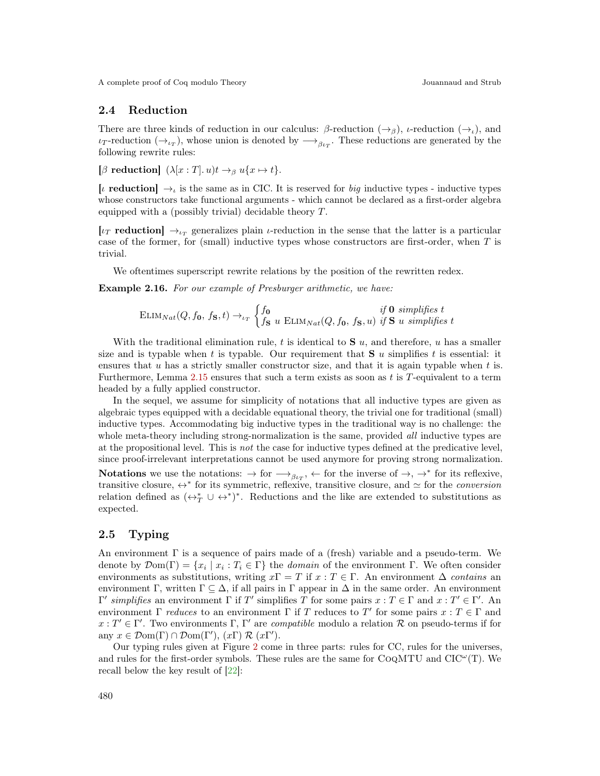#### 2.4 Reduction

There are three kinds of reduction in our calculus:  $\beta$ -reduction  $(\rightarrow_{\beta})$ ,  $\iota$ -reduction  $(\rightarrow_{\iota})$ , and  $\iota_T$ -reduction  $(\to_{\iota_T})$ , whose union is denoted by  $\longrightarrow_{\beta\iota_T}$ . These reductions are generated by the following rewrite rules:

[β reduction]  $(\lambda [x : T]. u)t \rightarrow_\beta u\{x \mapsto t\}.$ 

[*i* reduction]  $\rightarrow$ <sub>*i*</sub> is the same as in CIC. It is reserved for *big* inductive types - inductive types whose constructors take functional arguments - which cannot be declared as a first-order algebra equipped with a (possibly trivial) decidable theory T.

[ $\iota_T$  reduction]  $\rightarrow_{\iota_T}$  generalizes plain  $\iota$ -reduction in the sense that the latter is a particular case of the former, for (small) inductive types whose constructors are first-order, when  $T$  is trivial.

We oftentimes superscript rewrite relations by the position of the rewritten redex.

Example 2.16. For our example of Presburger arithmetic, we have:

$$
\text{ELIM}_{Nat}(Q, f_0, f_S, t) \rightarrow_{\iota_T} \begin{cases} f_0 & \text{if } 0 \text{ simplifies } t \\ f_S & \text{ELIM}_{Nat}(Q, f_0, f_S, u) \text{ if } S \text{ u simplifies } t \end{cases}
$$

With the traditional elimination rule, t is identical to  $S$  u, and therefore, u has a smaller size and is typable when t is typable. Our requirement that  $S$  u simplifies t is essential: it ensures that  $u$  has a strictly smaller constructor size, and that it is again typable when  $t$  is. Furthermore, Lemma [2.15](#page-5-2) ensures that such a term exists as soon as  $t$  is  $T$ -equivalent to a term headed by a fully applied constructor.

In the sequel, we assume for simplicity of notations that all inductive types are given as algebraic types equipped with a decidable equational theory, the trivial one for traditional (small) inductive types. Accommodating big inductive types in the traditional way is no challenge: the whole meta-theory including strong-normalization is the same, provided *all* inductive types are at the propositional level. This is not the case for inductive types defined at the predicative level, since proof-irrelevant interpretations cannot be used anymore for proving strong normalization. Notations we use the notations:  $\rightarrow$  for  $\rightarrow$ <sub> $\beta_{\iota_T}$ </sub>,  $\leftarrow$  for the inverse of  $\rightarrow$ ,  $\rightarrow^*$  for its reflexive, transitive closure,  $\leftrightarrow^*$  for its symmetric, reflexive, transitive closure, and  $\simeq$  for the *conversion* relation defined as  $(\leftrightarrow^*_{T} \cup \leftrightarrow^*)^*$ . Reductions and the like are extended to substitutions as

#### 2.5 Typing

expected.

An environment  $\Gamma$  is a sequence of pairs made of a (fresh) variable and a pseudo-term. We denote by  $\mathcal{D}om(\Gamma) = \{x_i \mid x_i : T_i \in \Gamma\}$  the *domain* of the environment  $\Gamma$ . We often consider environments as substitutions, writing  $x\Gamma = T$  if  $x : T \in \Gamma$ . An environment  $\Delta$  contains an environment Γ, written  $\Gamma \subset \Delta$ , if all pairs in Γ appear in  $\Delta$  in the same order. An environment  $Γ'$  simplifies an environment Γ if T' simplifies T for some pairs  $x : T ∈ Γ$  and  $x : T' ∈ Γ'$ . An environment  $\Gamma$  *reduces* to an environment  $\Gamma$  if T reduces to T' for some pairs  $x : T \in \Gamma$  and  $x: T' \in \Gamma'$ . Two environments  $\Gamma$ ,  $\Gamma'$  are *compatible* modulo a relation  $\mathcal R$  on pseudo-terms if for any  $x \in \mathcal{D}om(\Gamma) \cap \mathcal{D}om(\Gamma'), (x\Gamma) \mathcal{R}(x\Gamma').$ 

Our typing rules given at Figure [2](#page-7-1) come in three parts: rules for CC, rules for the universes, and rules for the first-order symbols. These rules are the same for  $COQMTU$  and  $ClC^{\omega}(T)$ . We recall below the key result of [\[22\]](#page-15-9):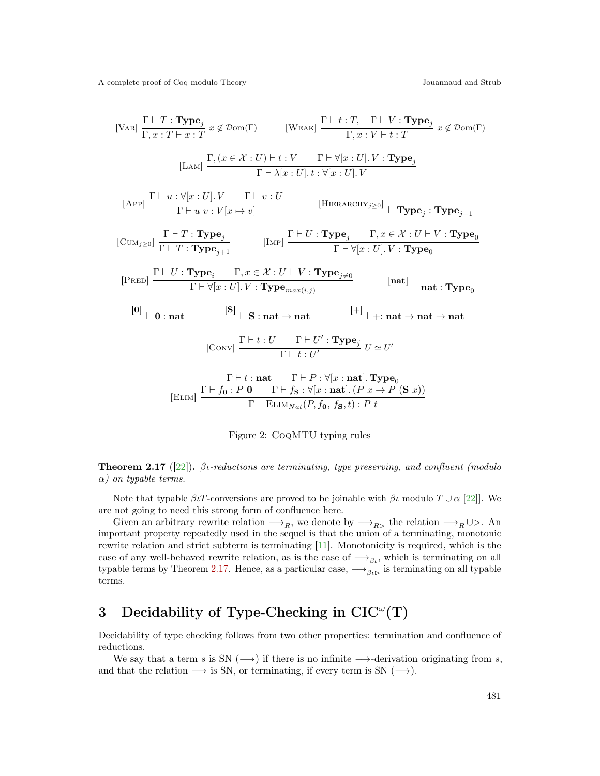[VaR] 
$$
\frac{\Gamma \vdash T : \text{Type}_j}{\Gamma, x : T \vdash x : T} x \notin \mathcal{D}om(\Gamma)
$$
 [WEAK]  $\frac{\Gamma \vdash t : T, \Gamma \vdash V : \text{Type}_j}{\Gamma, x : V \vdash t : T} x \notin \mathcal{D}om(\Gamma)$   
\n[LAN]  $\frac{\Gamma, (x \in \mathcal{X} : U) \vdash t : V \quad \Gamma \vdash \forall [x : U]. V : \text{Type}_j}{\Gamma \vdash \lambda [x : U]. t : \forall [x : U]. V}$   
\n[APP]  $\frac{\Gamma \vdash u : \forall [x : U]. V \quad \Gamma \vdash v : U}{\Gamma \vdash u : V[x \mapsto v]}$  [HIERARCHY<sub>j \geq 0</sub>]  $\frac{\Gamma \vdash T : \text{Type}_j : \text{Type}_{j+1}}{\Gamma \vdash y : T \text{Type}_{j+1}}$  [LMP]  $\frac{\Gamma \vdash U : \text{Type}_j \quad \Gamma, x \in \mathcal{X} : U \vdash V : \text{Type}_0}{\Gamma \vdash \forall [x : U]. V : \text{Type}_0}$   
\n[PRED]  $\frac{\Gamma \vdash U : \text{Type}_i \quad \Gamma, x \in \mathcal{X} : U \vdash V : \text{Type}_{j \neq 0}}{\Gamma \vdash \forall [x : U]. V : \text{Type}_{max(i,j)}$  [nat]  $\frac{\vdash}{\vdash nat} : \text{Type}_0}$   
\n[0]  $\frac{\Gamma \vdash U : \text{That}}{\vdash 0 : \text{nat}}$  [S]  $\frac{\Gamma \vdash t : U \quad \Gamma \vdash U' : \text{Type}_j}{\Gamma \vdash t : U'}$  U \simeq U'  
\n[CCovv]  $\frac{\Gamma \vdash t : U \quad \Gamma \vdash U : \text{Type}_j}{\Gamma \vdash t : U'}$  U \simeq U'  
\n[ELIM]  $\frac{\Gamma \vdash f_0 : P \ 0 \quad \Gamma \vdash f_5 : \forall [x : \text{nat}]. \text{Type}_0}{\Gamma \vdash E \text{LIM}_{Nat}(P, f_0, f_5, t) : P \ t}$ 

<span id="page-7-1"></span>Figure 2: CoqMTU typing rules

<span id="page-7-2"></span>**Theorem 2.17** ([\[22\]](#page-15-9)).  $\beta$ *l*-reductions are terminating, type preserving, and confluent (modulo)  $\alpha$ ) on typable terms.

Note that typable  $\beta \iota T$ -conversions are proved to be joinable with  $\beta \iota$  modulo  $T \cup \alpha$  [\[22\]](#page-15-9)]. We are not going to need this strong form of confluence here.

Given an arbitrary rewrite relation  $\longrightarrow_R$ , we denote by  $\longrightarrow_{R\triangleright}$  the relation  $\longrightarrow_R \cup \triangleright$ . An important property repeatedly used in the sequel is that the union of a terminating, monotonic rewrite relation and strict subterm is terminating [\[11\]](#page-15-10). Monotonicity is required, which is the case of any well-behaved rewrite relation, as is the case of  $\longrightarrow_{\beta_l}$ , which is terminating on all typable terms by Theorem [2.17.](#page-7-2) Hence, as a particular case,  $\rightarrow_{\beta_{\ell\mathcal{D}}}$  is terminating on all typable terms.

## <span id="page-7-0"></span>3 Decidability of Type-Checking in  $CIC^{\omega}(T)$

Decidability of type checking follows from two other properties: termination and confluence of reductions.

We say that a term s is SN  $(\rightarrow)$  if there is no infinite  $\rightarrow$ -derivation originating from s, and that the relation  $\longrightarrow$  is SN, or terminating, if every term is SN ( $\longrightarrow$ ).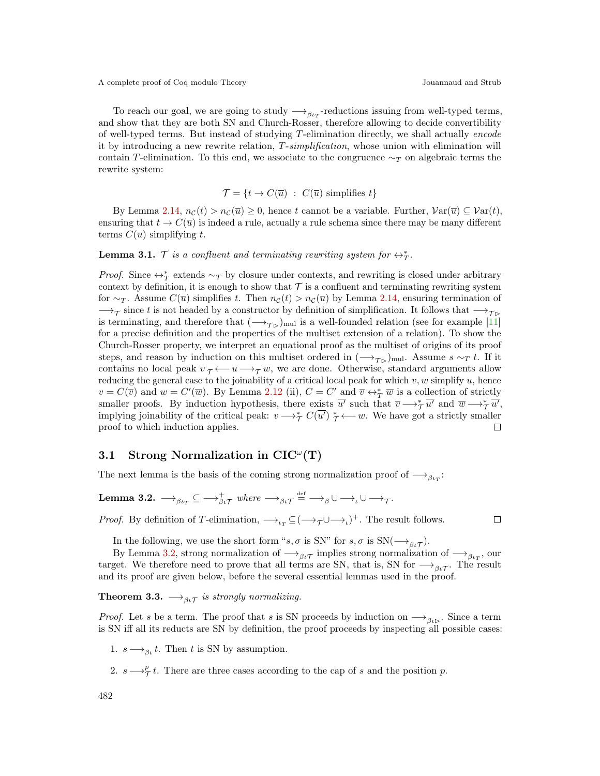To reach our goal, we are going to study  $\longrightarrow_{\beta_{tr}}$ -reductions issuing from well-typed terms, and show that they are both SN and Church-Rosser, therefore allowing to decide convertibility of well-typed terms. But instead of studying T-elimination directly, we shall actually encode it by introducing a new rewrite relation, T-simplification, whose union with elimination will contain T-elimination. To this end, we associate to the congruence  $\sim_T$  on algebraic terms the rewrite system:

$$
\mathcal{T} = \{ t \to C(\overline{u}) \ : \ C(\overline{u}) \ \text{simplifies} \ t \}
$$

By Lemma [2.14,](#page-5-3)  $n_{\mathcal{C}}(t) > n_{\mathcal{C}}(\overline{u}) \geq 0$ , hence t cannot be a variable. Further,  $\mathcal{V}\text{ar}(\overline{u}) \subseteq \mathcal{V}\text{ar}(t)$ , ensuring that  $t \to C(\overline{u})$  is indeed a rule, actually a rule schema since there may be many different terms  $C(\overline{u})$  simplifying t.

## <span id="page-8-2"></span>**Lemma 3.1.**  $\mathcal{T}$  is a confluent and terminating rewriting system for  $\leftrightarrow_{T}^*$ .

*Proof.* Since  $\leftrightarrow^*_{T}$  extends  $\sim_T$  by closure under contexts, and rewriting is closed under arbitrary context by definition, it is enough to show that  $\mathcal T$  is a confluent and terminating rewriting system for ∼ $\tau$ . Assume  $C(\overline{u})$  simplifies t. Then  $n_{\mathcal{C}}(t) > n_{\mathcal{C}}(\overline{u})$  by Lemma [2.14,](#page-5-3) ensuring termination of  $\rightarrow$ T since t is not headed by a constructor by definition of simplification. It follows that  $\rightarrow$ T is terminating, and therefore that  $(\rightarrow_{\tau_{\rm D}})_{\rm mul}$  is a well-founded relation (see for example [\[11\]](#page-15-10) for a precise definition and the properties of the multiset extension of a relation). To show the Church-Rosser property, we interpret an equational proof as the multiset of origins of its proof steps, and reason by induction on this multiset ordered in  $(\rightarrow_{\mathcal{T}_{\mathcal{P}}})$ mul. Assume s ∼*T* t. If it contains no local peak  $v_{\tau} \leftarrow u \rightarrow_{\tau} w$ , we are done. Otherwise, standard arguments allow reducing the general case to the joinability of a critical local peak for which  $v, w$  simplify  $u$ , hence  $v = C(\overline{v})$  and  $w = C'(\overline{w})$ . By Lemma [2.12](#page-5-1) (ii),  $C = C'$  and  $\overline{v} \leftrightarrow_{\overline{T}}^* \overline{w}$  is a collection of strictly smaller proofs. By induction hypothesis, there exists  $\overline{u'}$  such that  $\overline{v} \longrightarrow_{\overline{\mathcal{T}}} \overline{u'}$  and  $\overline{w} \longrightarrow_{\overline{\mathcal{T}}} \overline{u'}$ , implying joinability of the critical peak:  $v \rightarrow_{\mathcal{T}}^{\ast} C(\overline{u'}) \underset{\mathcal{T}}{\ast} \longleftarrow w$ . We have got a strictly smaller proof to which induction applies. П

## 3.1 Strong Normalization in  $CIC^{\omega}(T)$

The next lemma is the basis of the coming strong normalization proof of  $\longrightarrow_{\beta\iota_T}:$ 

<span id="page-8-0"></span>**Lemma 3.2.**  $\longrightarrow_{\beta\iota_T} \subseteq \longrightarrow_{\beta\iota_T}^+$  where  $\longrightarrow_{\beta\iota_T} \stackrel{\text{def}}{=} \longrightarrow_{\beta} \cup \longrightarrow_{\iota} \cup \longrightarrow_{\tau}$ .

*Proof.* By definition of T-elimination,  $\longrightarrow_{\iota_T} \subseteq (\longrightarrow_{\tau} \cup \longrightarrow_{\iota})^+$ . The result follows.

In the following, we use the short form " $s, \sigma$  is SN" for  $s, \sigma$  is SN( $\longrightarrow_{\beta \iota \mathcal{T}}$ ).

By Lemma [3.2,](#page-8-0) strong normalization of  $\longrightarrow_{\beta\iota\mathcal{T}}$  implies strong normalization of  $\longrightarrow_{\beta\iota\mathcal{T}}$ , our target. We therefore need to prove that all terms are SN, that is, SN for  $\longrightarrow_{\beta\iota\mathcal{T}}$ . The result and its proof are given below, before the several essential lemmas used in the proof.

<span id="page-8-1"></span>**Theorem 3.3.**  $\longrightarrow_{\beta \iota \mathcal{T}}$  is strongly normalizing.

*Proof.* Let s be a term. The proof that s is SN proceeds by induction on  $\rightarrow_{\beta_{\ell\mathcal{D}}}.$  Since a term is SN iff all its reducts are SN by definition, the proof proceeds by inspecting all possible cases:

1.  $s \rightarrow_{\beta_t} t$ . Then t is SN by assumption.

2.  $s \rightarrow_{\mathcal{T}}^p t$ . There are three cases according to the cap of s and the position p.

 $\Box$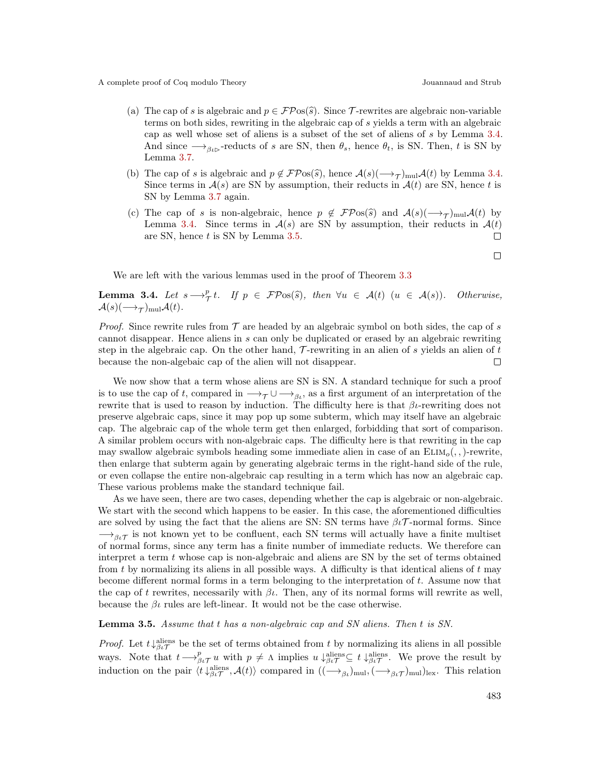- (a) The cap of s is algebraic and  $p \in \mathcal{F} \mathcal{P}$ os(s). Since T-rewrites are algebraic non-variable terms on both sides, rewriting in the algebraic cap of s yields a term with an algebraic cap as well whose set of aliens is a subset of the set of aliens of s by Lemma [3.4.](#page-9-0) And since  $\longrightarrow_{\beta_{\ell}}$ -reducts of s are SN, then  $\theta_s$ , hence  $\theta_t$ , is SN. Then, t is SN by Lemma [3.7.](#page-11-0)
- (b) The cap of s is algebraic and  $p \notin \mathcal{FPos}(\hat{s})$ , hence  $\mathcal{A}(s)(\longrightarrow_{\mathcal{T}})_{\text{mul}}\mathcal{A}(t)$  by Lemma [3.4.](#page-9-0)<br>Since terms in  $\mathcal{A}(s)$  are SN by assumption, their reducts in  $\mathcal{A}(t)$  are SN, hence t is Since terms in  $\mathcal{A}(s)$  are SN by assumption, their reducts in  $\mathcal{A}(t)$  are SN, hence t is SN by Lemma [3.7](#page-11-0) again.
- (c) The cap of s is non-algebraic, hence  $p \notin \mathcal{FP}$ os(s) and  $\mathcal{A}(s)(\longrightarrow_T)_{\text{mul}}\mathcal{A}(t)$  by<br>Lomma 3.4. Since terms in  $\mathcal{A}(s)$  are SN by assumption, their reducts in  $\mathcal{A}(t)$ Lemma [3.4.](#page-9-0) Since terms in  $A(s)$  are SN by assumption, their reducts in  $A(t)$ are SN, hence  $t$  is SN by Lemma [3.5.](#page-9-1)  $\Box$

 $\Box$ 

We are left with the various lemmas used in the proof of Theorem [3.3](#page-8-1)

<span id="page-9-0"></span>**Lemma 3.4.** Let  $s \rightarrow_{\mathcal{T}}^p t$ . If  $p \in \mathcal{FPos}(\widehat{s})$ , then  $\forall u \in \mathcal{A}(t)$   $(u \in \mathcal{A}(s))$ . Otherwise,  $\mathcal{A}(s)(\longrightarrow_{\mathcal{T}})_{\text{mul}}\mathcal{A}(t).$ 

*Proof.* Since rewrite rules from  $\mathcal T$  are headed by an algebraic symbol on both sides, the cap of s cannot disappear. Hence aliens in s can only be duplicated or erased by an algebraic rewriting step in the algebraic cap. On the other hand,  $\mathcal{T}\text{-rewriting}$  in an alien of s yields an alien of t because the non-algebaic cap of the alien will not disappear.  $\Box$ 

We now show that a term whose aliens are SN is SN. A standard technique for such a proof is to use the cap of t, compared in  $\longrightarrow_{\tau} \cup \longrightarrow_{\beta_{t}}$ , as a first argument of an interpretation of the rewrite that is used to reason by induction. The difficulty here is that  $\beta$ *ι*-rewriting does not preserve algebraic caps, since it may pop up some subterm, which may itself have an algebraic cap. The algebraic cap of the whole term get then enlarged, forbidding that sort of comparison. A similar problem occurs with non-algebraic caps. The difficulty here is that rewriting in the cap may swallow algebraic symbols heading some immediate alien in case of an  $ELIM<sub>o</sub>(,.)$ -rewrite, then enlarge that subterm again by generating algebraic terms in the right-hand side of the rule, or even collapse the entire non-algebraic cap resulting in a term which has now an algebraic cap. These various problems make the standard technique fail.

As we have seen, there are two cases, depending whether the cap is algebraic or non-algebraic. We start with the second which happens to be easier. In this case, the aforementioned difficulties are solved by using the fact that the aliens are SN: SN terms have  $\beta\iota\mathcal{T}$ -normal forms. Since  $\rightarrow_{\beta\iota\mathcal{T}}$  is not known yet to be confluent, each SN terms will actually have a finite multiset of normal forms, since any term has a finite number of immediate reducts. We therefore can interpret a term  $t$  whose cap is non-algebraic and aliens are SN by the set of terms obtained from t by normalizing its aliens in all possible ways. A difficulty is that identical aliens of  $t$  may become different normal forms in a term belonging to the interpretation of t. Assume now that the cap of t rewrites, necessarily with  $\beta\iota$ . Then, any of its normal forms will rewrite as well, because the  $\beta\iota$  rules are left-linear. It would not be the case otherwise.

<span id="page-9-1"></span>Lemma 3.5. Assume that t has a non-algebraic cap and SN aliens. Then t is SN.

*Proof.* Let  $t \downarrow_{\beta\iota\mathcal{T}}^{\text{aliens}}$  be the set of terms obtained from t by normalizing its aliens in all possible ways. Note that  $t \rightarrow_{\beta\iota\mathcal{T}}^p u$  with  $p \neq \Lambda$  implies  $u \downarrow_{\beta\iota\mathcal{T}}^{\text{aliens}} \subseteq t \downarrow_{\beta\iota\mathcal{T}}^{\text{aliens}}$ . We prove the result by induction on the pair  $\langle t \downarrow_{\beta \iota}^{\text{aliens}}, \mathcal{A}(t) \rangle$  compared in  $((\longrightarrow_{\beta \iota})_{\text{mul}}, (\longrightarrow_{\beta \iota} \tau)_{\text{mul}})_{\text{lex}}$ . This relation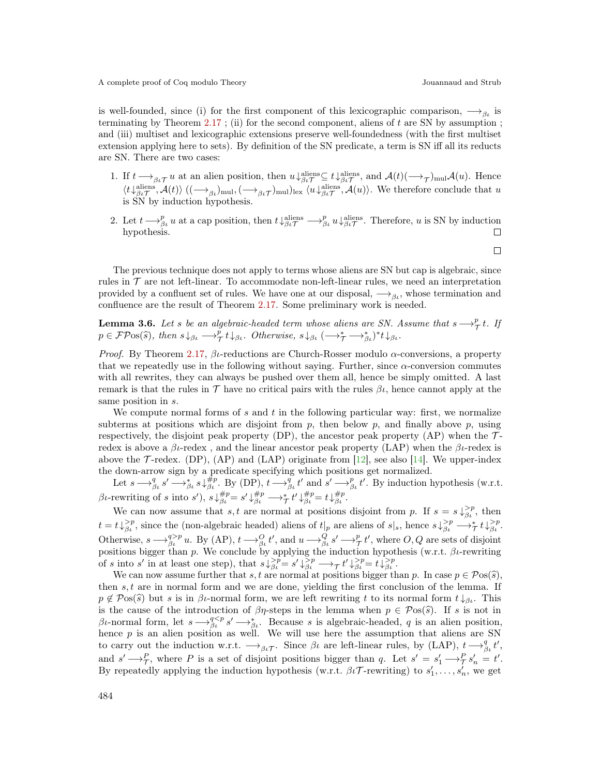is well-founded, since (i) for the first component of this lexicographic comparison,  $\rightarrow_{\beta_l}$  is terminating by Theorem [2.17](#page-7-2) ; (ii) for the second component, aliens of t are SN by assumption ; and (iii) multiset and lexicographic extensions preserve well-foundedness (with the first multiset extension applying here to sets). By definition of the SN predicate, a term is SN iff all its reducts are SN. There are two cases:

- 1. If  $t \rightarrow_{\beta \iota \mathcal{T}} u$  at an alien position, then  $u \downarrow_{\beta \iota \mathcal{T}}^{\text{aliens}} \subseteq t \downarrow_{\beta \iota \mathcal{T}}^{\text{aliens}},$  and  $\mathcal{A}(t) \left(\rightarrow_{\mathcal{T}}\right)_{\text{mul}} \mathcal{A}(u)$ . Hence  $\langle t\downarrow_{\beta\iota\mathcal{T}}^{\text{aliens}},\mathcal{A}(t)\rangle$  ( $(\longrightarrow_{\beta\iota})_{\text{mul}}, (\longrightarrow_{\beta\iota\mathcal{T}})_{\text{mul}}|_{\text{lex}}$   $\langle u\downarrow_{\beta\iota\mathcal{T}}^{\text{aliens}},\mathcal{A}(u)\rangle$ ). We therefore conclude that u is SN by induction hypothesis.
- 2. Let  $t \longrightarrow_{\beta_L}^p u$  at a cap position, then  $t \downarrow_{\beta_L}^{\text{aliens}} \longrightarrow_{\beta_L}^p u \downarrow_{\beta_L}^{\text{aliens}}$ . Therefore, u is SN by induction hypothesis.  $\Box$

The previous technique does not apply to terms whose aliens are SN but cap is algebraic, since rules in  $\mathcal T$  are not left-linear. To accommodate non-left-linear rules, we need an interpretation provided by a confluent set of rules. We have one at our disposal,  $\rightarrow_{\beta_{\ell}}$ , whose termination and confluence are the result of Theorem [2.17.](#page-7-2) Some preliminary work is needed.

<span id="page-10-0"></span>**Lemma 3.6.** Let s be an algebraic-headed term whose aliens are SN. Assume that  $s \rightarrow_T^p t$ . If  $p \in \mathcal{FPos}(\widehat{s})$ , then  $s \downarrow_{\beta\iota} \longrightarrow_{\mathcal{T}}^{\widetilde{p}} t \downarrow_{\beta\iota}$ . Otherwise,  $s \downarrow_{\beta\iota} (\longrightarrow_{\mathcal{T}}^* \longrightarrow_{\beta\iota}^*)^* t \downarrow_{\beta\iota}$ .

*Proof.* By Theorem [2.17,](#page-7-2)  $\beta$  -reductions are Church-Rosser modulo  $\alpha$ -conversions, a property that we repeatedly use in the following without saying. Further, since  $\alpha$ -conversion commutes with all rewrites, they can always be pushed over them all, hence be simply omitted. A last remark is that the rules in  $\mathcal T$  have no critical pairs with the rules  $\beta\iota$ , hence cannot apply at the same position in s.

We compute normal forms of s and t in the following particular way: first, we normalize subterms at positions which are disjoint from  $p$ , then below  $p$ , and finally above  $p$ , using respectively, the disjoint peak property (DP), the ancestor peak property (AP) when the  $\mathcal{T}$ redex is above a  $β$ *ι*-redex, and the linear ancestor peak property (LAP) when the  $β$ *ι*-redex is above the  $\mathcal{T}$ -redex. (DP), (AP) and (LAP) originate from [\[12\]](#page-15-11), see also [\[14\]](#page-15-12). We upper-index the down-arrow sign by a predicate specifying which positions get normalized.

Let  $s \longrightarrow_{\beta_{\iota}}^q s' \longrightarrow_{\beta_{\iota}}^* s \downarrow_{\beta_{\iota}}^{\#p}$ . By (DP),  $t \longrightarrow_{\beta_{\iota}}^q t'$  and  $s' \longrightarrow_{\beta_{\iota}}^p t'$ . By induction hypothesis (w.r.t. βι-rewriting of s into s'),  $s \downarrow_{\beta}^{#p} = s' \downarrow_{\beta}^{#p} \longrightarrow_{\mathcal{T}}^* t' \downarrow_{\beta}^{#p} = t \downarrow_{\beta}^{#p}$ .

We can now assume that s, t are normal at positions disjoint from p. If  $s = s \downarrow_{\beta_l}^{\geq p}$ , then  $t = t \downarrow_{\beta}^{\geq p}$ , since the (non-algebraic headed) aliens of  $t|_p$  are aliens of  $s|_s$ , hence  $s \downarrow_{\beta}^{\geq p} \longrightarrow_{\mathcal{T}}^* t \downarrow_{\beta}^{\geq p}$ . Otherwise,  $s \rightarrow_{\beta_l}^{q > p} u$ . By (AP),  $t \rightarrow_{\beta_l}^{Q} t'$ , and  $u \rightarrow_{\beta_l}^{Q} s' \rightarrow_{\mathcal{T}}^{p} t'$ , where  $O, Q$  are sets of disjoint positions bigger than p. We conclude by applying the induction hypothesis (w.r.t.  $\beta$ *ι*-rewriting of s into s' in at least one step), that  $s \downarrow_{\beta\iota}^{>p} = s' \downarrow_{\beta\iota}^{>p} \longrightarrow_{\mathcal{T}} t' \downarrow_{\beta\iota}^{>p} = t \downarrow_{\beta\iota}^{>p}$ .

We can now assume further that s, t are normal at positions bigger than p. In case  $p \in \mathcal{P}(\mathcal{S})$ , then  $s, t$  are in normal form and we are done, yielding the first conclusion of the lemma. If  $p \notin \mathcal{P}(\widehat{s})$  but s is in βι-normal form, we are left rewriting t to its normal form  $t \downarrow_{\beta_t}$ . This is the cause of the introduction of  $\beta\eta$ -steps in the lemma when  $p \in \mathcal{P}(\widehat{s})$ . If s is not in βι-normal form, let  $s \rightarrow_{\beta}^{q \leq p} s' \rightarrow_{\beta}^{*} s$ . Because s is algebraic-headed, q is an alien position, hence  $p$  is an alien position as well. We will use here the assumption that aliens are SN to carry out the induction w.r.t.  $\longrightarrow_{\beta_t\tau}$ . Since  $\beta_t$  are left-linear rules, by (LAP),  $t \longrightarrow_{\beta_t}^q t'$ , and  $s' \rightarrow_{\mathcal{T}}^P$ , where P is a set of disjoint positions bigger than q. Let  $s' = s'_1 \rightarrow_{\mathcal{T}}^P s'_n = t'$ . By repeatedly applying the induction hypothesis (w.r.t.  $\beta \iota \mathcal{T}$ -rewriting) to  $s'_1, \ldots, s'_n$ , we get

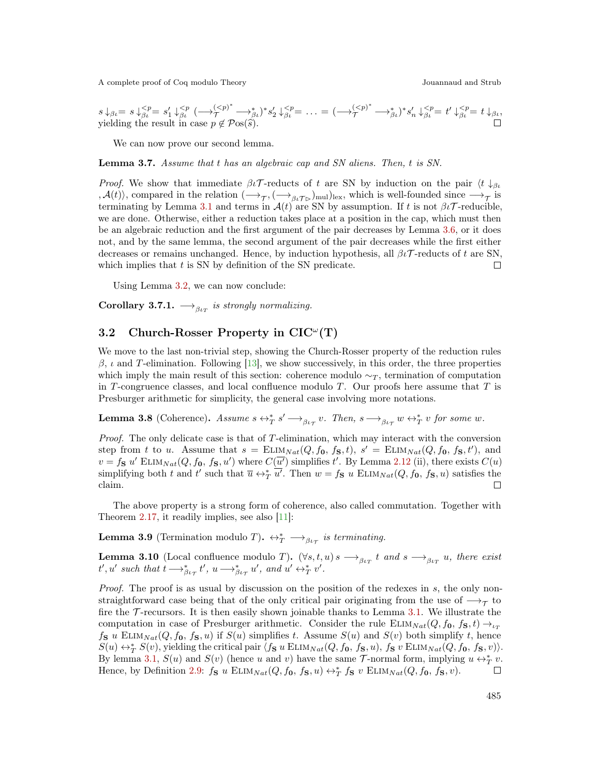$$
s \downarrow_{\beta_t} = s \downarrow_{\beta_t}^{ yielding the result in case  $p \notin \mathcal{P}$ os( $\hat{s}$ ).
$$

We can now prove our second lemma.

<span id="page-11-0"></span>Lemma 3.7. Assume that t has an algebraic cap and SN aliens. Then, t is SN.

*Proof.* We show that immediate  $\beta \iota \mathcal{T}$ -reducts of t are SN by induction on the pair  $\langle t | \xi_{\beta} \rangle$  $\mathcal{A}(t)$ , compared in the relation  $\left(\longrightarrow_{\mathcal{T}},\left(\longrightarrow_{\beta_t\mathcal{T}_{\triangleright}}\right)_{\text{mul}}\right)_{\text{lex}}$ , which is well-founded since  $\longrightarrow_{\mathcal{T}}$  is terminating by Lemma [3.1](#page-8-2) and terms in  $\mathcal{A}(t)$  are SN by assumption. If t is not  $\beta t\mathcal{T}$ -reducible, we are done. Otherwise, either a reduction takes place at a position in the cap, which must then be an algebraic reduction and the first argument of the pair decreases by Lemma [3.6,](#page-10-0) or it does not, and by the same lemma, the second argument of the pair decreases while the first either decreases or remains unchanged. Hence, by induction hypothesis, all  $\beta \iota \mathcal{T}$ -reducts of t are SN, which implies that  $t$  is SN by definition of the SN predicate.  $\Box$ 

Using Lemma [3.2,](#page-8-0) we can now conclude:

**Corollary 3.7.1.**  $\longrightarrow_{\beta_{tT}}$  is strongly normalizing.

## 3.2 Church-Rosser Property in  $CIC^{\omega}(T)$

We move to the last non-trivial step, showing the Church-Rosser property of the reduction rules  $β$ , *ι* and T-elimination. Following [\[13\]](#page-15-13), we show successively, in this order, the three properties which imply the main result of this section: coherence modulo  $\sim_T$ , termination of computation in T-congruence classes, and local confluence modulo  $T$ . Our proofs here assume that  $T$  is Presburger arithmetic for simplicity, the general case involving more notations.

<span id="page-11-2"></span>**Lemma 3.8** (Coherence). Assume  $s \leftrightarrow_{T}^{*} s' \longrightarrow_{\beta \iota_{\mathcal{T}}} v$ . Then,  $s \longrightarrow_{\beta \iota_{\mathcal{T}}} w \leftrightarrow_{T}^{*} v$  for some w.

Proof. The only delicate case is that of T-elimination, which may interact with the conversion step from t to u. Assume that  $s = \text{ELIM}_{Nat}(Q, f_0, f_S, t), s' = \text{ELIM}_{Nat}(Q, f_0, f_S, t'),$  and  $v = f_S u' \text{ELIM}_{Nat}(Q, f_0, f_S, u')$  where  $C(\overline{u'})$  simplifies t'. By Lemma [2.12](#page-5-1) (ii), there exists  $C(u)$ simplifying both t and t' such that  $\overline{u} \leftrightarrow_{T}^* \overline{u'}$ . Then  $w = f_S u$  ELIM<sub>Nat</sub> $(Q, f_0, f_S, u)$  satisfies the claim.  $\Box$ 

The above property is a strong form of coherence, also called commutation. Together with Theorem [2.17,](#page-7-2) it readily implies, see also [\[11\]](#page-15-10):

<span id="page-11-1"></span>**Lemma 3.9** (Termination modulo T).  $\leftrightarrow^*_{T} \longrightarrow_{\beta_{t_{\tau}}}$  is terminating.

<span id="page-11-3"></span>**Lemma 3.10** (Local confluence modulo T).  $(\forall s, t, u) s \rightarrow_{\beta_{tT}} t$  and  $s \rightarrow_{\beta_{tT}} u$ , there exist  $t', u'$  such that  $t \longrightarrow_{\beta \iota_{\mathcal{T}}}^* t'$ ,  $u \longrightarrow_{\beta \iota_{\mathcal{T}}}^* u'$ , and  $u' \leftrightarrow_{\mathcal{T}}^* v'$ .

Proof. The proof is as usual by discussion on the position of the redexes in s, the only nonstraightforward case being that of the only critical pair originating from the use of  $\longrightarrow_{\mathcal{T}}$  to fire the  $\mathcal T$ -recursors. It is then easily shown joinable thanks to Lemma [3.1.](#page-8-2) We illustrate the computation in case of Presburger arithmetic. Consider the rule  $ELIM<sub>Nat</sub>(Q, f_0, f_S, t) \rightarrow_{\iota_T}$  $f_{\mathbf{S}} u$  ELIM $_{Nat}(Q, f_0, f_{\mathbf{S}}, u)$  if  $S(u)$  simplifies t. Assume  $S(u)$  and  $S(v)$  both simplify t, hence  $S(u) \leftrightarrow_T^* S(v)$ , yielding the critical pair  $\overline{\langle f_S u \to LIM_{Nat}(Q, f_0, f_S, u), f_S v \to LIM_{Nat}(Q, f_0, f_S, v) \rangle}.$ By lemma [3.1,](#page-8-2)  $S(u)$  and  $S(v)$  (hence u and v) have the same  $\mathcal{T}$ -normal form, implying  $u \leftrightarrow^*_{T} v$ . Hence, by Definition [2.9:](#page-5-4)  $f_{\mathbf{S}} u \text{ ELIM}_{Nat}(Q, f_0, f_{\mathbf{S}}, u) \leftrightarrow^*_{T} f_{\mathbf{S}} v \text{ ELIM}_{Nat}(Q, f_0, f_{\mathbf{S}}, v)$ .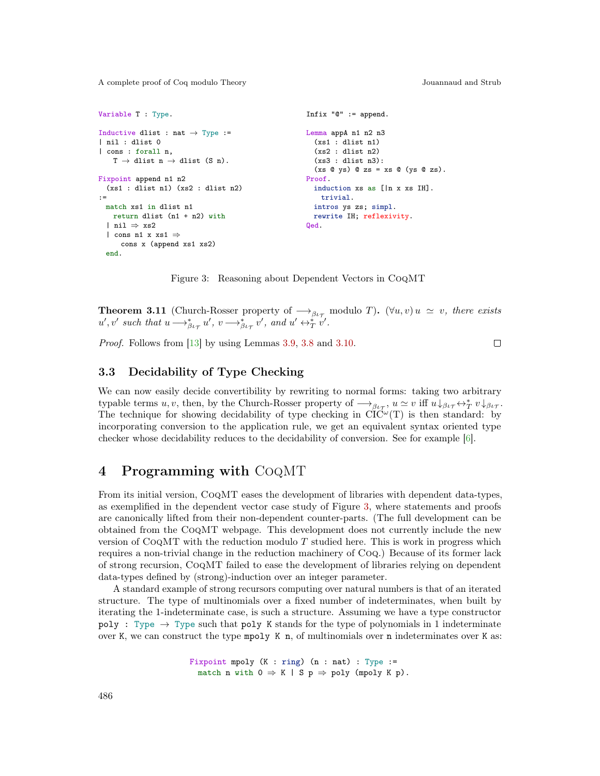```
Variable T : Type.
Inductive dlist : nat \rightarrow Type :=
| nil : dlist 0
| cons : forall n,
   T \rightarrow dlist n \rightarrow dlist (S n).
Fixpoint append n1 n2
 (xs1 : dlist n1) (xs2 : dlist n2)
\cdot =
 match xs1 in dlist n1
   return dlist (n1 + n2) with
  | nil ⇒ xs2
  | cons n1 x xs1 \Rightarrowcons x (append xs1 xs2)
  end.
                                                       Infix "@" := append.
                                                       Lemma appA n1 n2 n3
                                                         (xs1 : dlist n1)
                                                         (xs2 : dlist n2)
                                                         (xs3 : dlist n3):
                                                         (xs @ ys) @ zs = xs @ (ys @ zs).
                                                       Proof.
                                                         induction xs as [|n x xs IH].
                                                           trivial.
                                                         intros ys zs; simpl.
                                                         rewrite IH; reflexivity.
                                                       Qed.
```
<span id="page-12-1"></span>Figure 3: Reasoning about Dependent Vectors in CoqMT

**Theorem 3.11** (Church-Rosser property of  $\rightarrow_{\beta\iota\tau}$  modulo T). ( $\forall u, v$ )  $u \simeq v$ , there exists  $u', v'$  such that  $u \longrightarrow_{\beta \iota_{\mathcal{T}}}^* u', v \longrightarrow_{\beta \iota_{\mathcal{T}}}^* v'$ , and  $u' \leftrightarrow_{\mathcal{T}}^* v'$ .

Proof. Follows from [\[13\]](#page-15-13) by using Lemmas [3.9,](#page-11-1) [3.8](#page-11-2) and [3.10.](#page-11-3)

 $\Box$ 

#### 3.3 Decidability of Type Checking

We can now easily decide convertibility by rewriting to normal forms: taking two arbitrary typable terms  $u, v$ , then, by the Church-Rosser property of  $\longrightarrow_{\beta\iota_{\mathcal{T}}}, u \simeq v$  iff  $u \downarrow_{\beta\iota_{\mathcal{T}}} \leftrightarrow^*_{T} v \downarrow_{\beta\iota_{\mathcal{T}}}$ . The technique for showing decidability of type checking in  $\text{CI}C^{\omega}(T)$  is then standard: by incorporating conversion to the application rule, we get an equivalent syntax oriented type checker whose decidability reduces to the decidability of conversion. See for example [\[6\]](#page-14-2).

## <span id="page-12-0"></span>4 Programming with CoqMT

From its initial version, CoqMT eases the development of libraries with dependent data-types, as exemplified in the dependent vector case study of Figure [3,](#page-12-1) where statements and proofs are canonically lifted from their non-dependent counter-parts. (The full development can be obtained from the CoqMT webpage. This development does not currently include the new version of  $CoqMT$  with the reduction modulo T studied here. This is work in progress which requires a non-trivial change in the reduction machinery of Coq.) Because of its former lack of strong recursion, CoqMT failed to ease the development of libraries relying on dependent data-types defined by (strong)-induction over an integer parameter.

A standard example of strong recursors computing over natural numbers is that of an iterated structure. The type of multinomials over a fixed number of indeterminates, when built by iterating the 1-indeterminate case, is such a structure. Assuming we have a type constructor poly : Type  $\rightarrow$  Type such that poly K stands for the type of polynomials in 1 indeterminate over K, we can construct the type mpoly K n, of multinomials over n indeterminates over K as:

> Fixpoint mpoly  $(K : ring)$   $(n : nat) : Type : =$ match n with  $0 \Rightarrow K | S p \Rightarrow poly (mpoly K p)$ .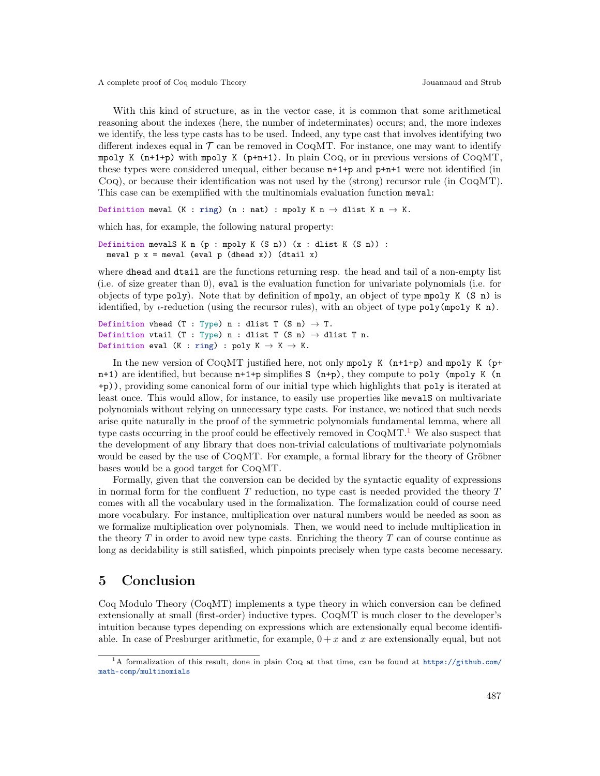With this kind of structure, as in the vector case, it is common that some arithmetical reasoning about the indexes (here, the number of indeterminates) occurs; and, the more indexes we identify, the less type casts has to be used. Indeed, any type cast that involves identifying two different indexes equal in  $\mathcal T$  can be removed in COQMT. For instance, one may want to identify mpoly K  $(n+1+p)$  with mpoly K  $(p+n+1)$ . In plain Coq, or in previous versions of CoqMT, these types were considered unequal, either because n+1+p and p+n+1 were not identified (in Coq), or because their identification was not used by the (strong) recursor rule (in CoqMT). This case can be exemplified with the multinomials evaluation function meval:

Definition meval (K : ring) (n : nat) : mpoly K n  $\rightarrow$  dlist K n  $\rightarrow$  K.

which has, for example, the following natural property:

Definition mevalS K n (p : mpoly K (S n)) (x : dlist K (S n)) : meval  $p$  x = meval (eval  $p$  (dhead x)) (dtail x)

where dhead and dtail are the functions returning resp. the head and tail of a non-empty list (i.e. of size greater than 0), eval is the evaluation function for univariate polynomials (i.e. for objects of type poly). Note that by definition of mpoly, an object of type mpoly K (S n) is identified, by *ι*-reduction (using the recursor rules), with an object of type poly(mpoly K n).

```
Definition vhead (T : Type) n : dlist T (S n) \rightarrow T.
Definition vtail (T : Type) n : dlist T (S n) \rightarrow dlist T n.
Definition eval (K : ring) : poly K \rightarrow K \rightarrow K.
```
In the new version of COQMT justified here, not only mpoly K  $(n+1+p)$  and mpoly K  $(p+1+p)$  $n+1$ ) are identified, but because  $n+1+p$  simplifies S  $(n+p)$ , they compute to poly  $(mpoly K)$ +p)), providing some canonical form of our initial type which highlights that poly is iterated at least once. This would allow, for instance, to easily use properties like mevalS on multivariate polynomials without relying on unnecessary type casts. For instance, we noticed that such needs arise quite naturally in the proof of the symmetric polynomials fundamental lemma, where all type casts occurring in the proof could be effectively removed in  $COQMT$ <sup>[1](#page-0-0)</sup>. We also suspect that the development of any library that does non-trivial calculations of multivariate polynomials would be eased by the use of CoqMT. For example, a formal library for the theory of Gröbner bases would be a good target for CoqMT.

Formally, given that the conversion can be decided by the syntactic equality of expressions in normal form for the confluent  $T$  reduction, no type cast is needed provided the theory  $T$ comes with all the vocabulary used in the formalization. The formalization could of course need more vocabulary. For instance, multiplication over natural numbers would be needed as soon as we formalize multiplication over polynomials. Then, we would need to include multiplication in the theory  $T$  in order to avoid new type casts. Enriching the theory  $T$  can of course continue as long as decidability is still satisfied, which pinpoints precisely when type casts become necessary.

### 5 Conclusion

Coq Modulo Theory (CoqMT) implements a type theory in which conversion can be defined extensionally at small (first-order) inductive types. CoqMT is much closer to the developer's intuition because types depending on expressions which are extensionally equal become identifiable. In case of Presburger arithmetic, for example,  $0 + x$  and x are extensionally equal, but not

<sup>1</sup>A formalization of this result, done in plain Coq at that time, can be found at [https://github.com/](https://github.com/math-comp/multinomials) [math-comp/multinomials](https://github.com/math-comp/multinomials)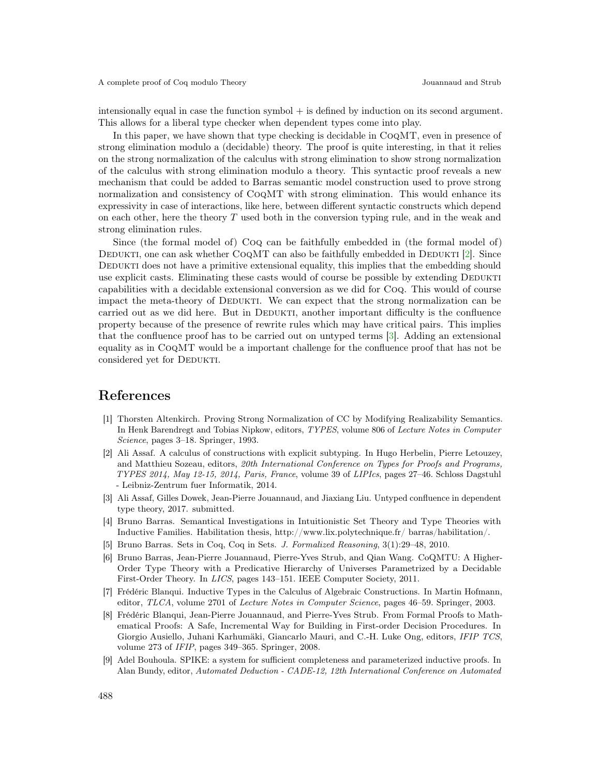intensionally equal in case the function symbol + is defined by induction on its second argument. This allows for a liberal type checker when dependent types come into play.

In this paper, we have shown that type checking is decidable in  $COQMT$ , even in presence of strong elimination modulo a (decidable) theory. The proof is quite interesting, in that it relies on the strong normalization of the calculus with strong elimination to show strong normalization of the calculus with strong elimination modulo a theory. This syntactic proof reveals a new mechanism that could be added to Barras semantic model construction used to prove strong normalization and consistency of CoqMT with strong elimination. This would enhance its expressivity in case of interactions, like here, between different syntactic constructs which depend on each other, here the theory T used both in the conversion typing rule, and in the weak and strong elimination rules.

Since (the formal model of) Coq can be faithfully embedded in (the formal model of) DEDUKTI, one can ask whether  $CoQMT$  can also be faithfully embedded in DEDUKTI [\[2\]](#page-14-7). Since DEDUKTI does not have a primitive extensional equality, this implies that the embedding should use explicit casts. Eliminating these casts would of course be possible by extending DEDUKTI capabilities with a decidable extensional conversion as we did for Coq. This would of course impact the meta-theory of DEDUKTI. We can expect that the strong normalization can be carried out as we did here. But in DEDUKTI, another important difficulty is the confluence property because of the presence of rewrite rules which may have critical pairs. This implies that the confluence proof has to be carried out on untyped terms [\[3\]](#page-14-8). Adding an extensional equality as in CoqMT would be a important challenge for the confluence proof that has not be considered yet for DEDUKTI.

## References

- <span id="page-14-5"></span>[1] Thorsten Altenkirch. Proving Strong Normalization of CC by Modifying Realizability Semantics. In Henk Barendregt and Tobias Nipkow, editors, TYPES, volume 806 of Lecture Notes in Computer Science, pages 3–18. Springer, 1993.
- <span id="page-14-7"></span>[2] Ali Assaf. A calculus of constructions with explicit subtyping. In Hugo Herbelin, Pierre Letouzey, and Matthieu Sozeau, editors, 20th International Conference on Types for Proofs and Programs, TYPES 2014, May 12-15, 2014, Paris, France, volume 39 of LIPIcs, pages 27–46. Schloss Dagstuhl - Leibniz-Zentrum fuer Informatik, 2014.
- <span id="page-14-8"></span>[3] Ali Assaf, Gilles Dowek, Jean-Pierre Jouannaud, and Jiaxiang Liu. Untyped confluence in dependent type theory, 2017. submitted.
- <span id="page-14-3"></span>[4] Bruno Barras. Semantical Investigations in Intuitionistic Set Theory and Type Theories with Inductive Families. Habilitation thesis, http://www.lix.polytechnique.fr/ barras/habilitation/.
- <span id="page-14-4"></span>[5] Bruno Barras. Sets in Coq, Coq in Sets. J. Formalized Reasoning, 3(1):29–48, 2010.
- <span id="page-14-2"></span>[6] Bruno Barras, Jean-Pierre Jouannaud, Pierre-Yves Strub, and Qian Wang. CoQMTU: A Higher-Order Type Theory with a Predicative Hierarchy of Universes Parametrized by a Decidable First-Order Theory. In LICS, pages 143–151. IEEE Computer Society, 2011.
- <span id="page-14-0"></span>[7] Frédéric Blanqui. Inductive Types in the Calculus of Algebraic Constructions. In Martin Hofmann, editor, TLCA, volume 2701 of Lecture Notes in Computer Science, pages 46–59. Springer, 2003.
- <span id="page-14-1"></span>[8] Frédéric Blanqui, Jean-Pierre Jouannaud, and Pierre-Yves Strub. From Formal Proofs to Mathematical Proofs: A Safe, Incremental Way for Building in First-order Decision Procedures. In Giorgio Ausiello, Juhani Karhumäki, Giancarlo Mauri, and C.-H. Luke Ong, editors, IFIP TCS, volume 273 of IFIP, pages 349–365. Springer, 2008.
- <span id="page-14-6"></span>[9] Adel Bouhoula. SPIKE: a system for sufficient completeness and parameterized inductive proofs. In Alan Bundy, editor, Automated Deduction - CADE-12, 12th International Conference on Automated